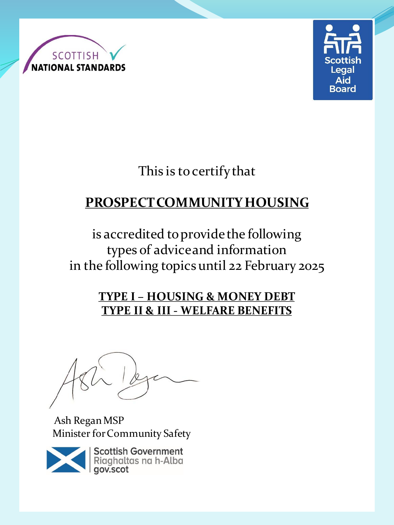



This is to certify that

# **PROSPECT COMMUNITY HOUSING**

is accredited to provide the following types of advice and information in the following topics until 22 February 2025

#### **TYPE I – HOUSING & MONEY DEBT TYPE II & III - WELFARE BENEFITS**

Ash Regan MSP Minister for Community Safety



**Scottish Government** Riaghaltas na h-Alba gov.scot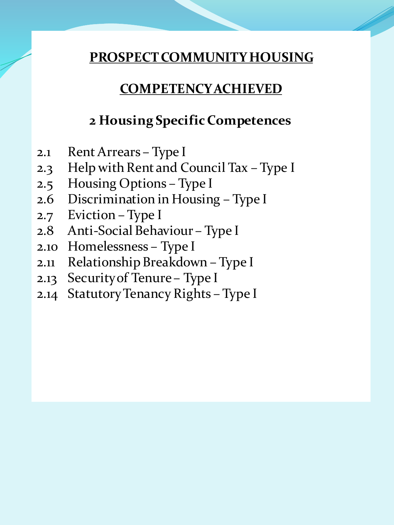### **COMPETENCY ACHIEVED**

## **2 Housing Specific Competences**

- 2.1 Rent Arrears Type I
- 2.3 Help with Rent and Council Tax Type I
- 2.5 Housing Options Type I
- 2.6 Discrimination in Housing Type I
- 2.7 Eviction Type I
- 2.8 Anti-Social Behaviour Type I
- 2.10 Homelessness Type I
- 2.11 Relationship Breakdown Type I
- 2.13 Security of Tenure Type I
- 2.14 Statutory Tenancy Rights Type I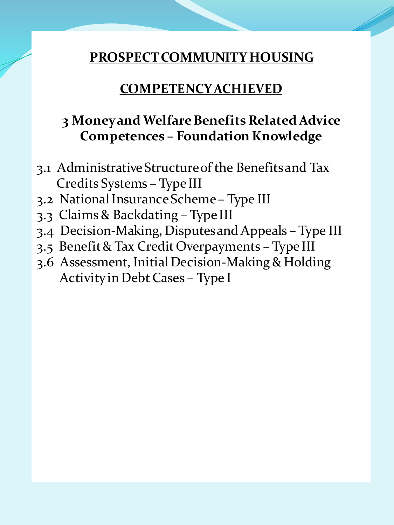#### **COMPETENCY ACHIEVED**

### **3 Money and Welfare Benefits Related Advice Competences – Foundation Knowledge**

- 3.1 Administrative Structure of the Benefits and Tax Credits Systems – Type III
- 3.2 National Insurance Scheme Type III
- 3.3 Claims & Backdating Type III
- 3.4 Decision-Making, Disputes and Appeals Type III
- 3.5 Benefit & Tax Credit Overpayments Type III
- 3.6 Assessment, Initial Decision-Making & Holding Activity in Debt Cases – Type I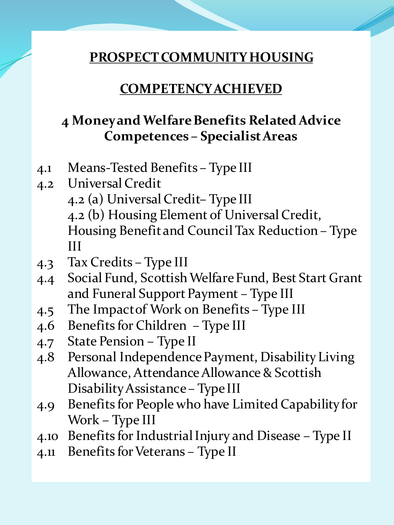#### **COMPETENCY ACHIEVED**

### **4 Money and Welfare Benefits Related Advice Competences – Specialist Areas**

- 4.1 Means-Tested Benefits Type III
- 4.2 Universal Credit 4.2 (a) Universal Credit– Type III 4.2 (b) Housing Element of Universal Credit, Housing Benefit and Council Tax Reduction – Type III
- 4.3 Tax Credits Type III
- 4.4 Social Fund, Scottish Welfare Fund, Best Start Grant and Funeral Support Payment – Type III
- 4.5 The Impact of Work on Benefits Type III
- 4.6 Benefits for Children Type III
- 4.7 State Pension Type II
- 4.8 Personal Independence Payment, Disability Living Allowance, Attendance Allowance & Scottish Disability Assistance – Type III
- 4.9 Benefits for People who have Limited Capability for Work – Type III
- 4.10 Benefits for Industrial Injury and Disease Type II
- 4.11 Benefits for Veterans Type II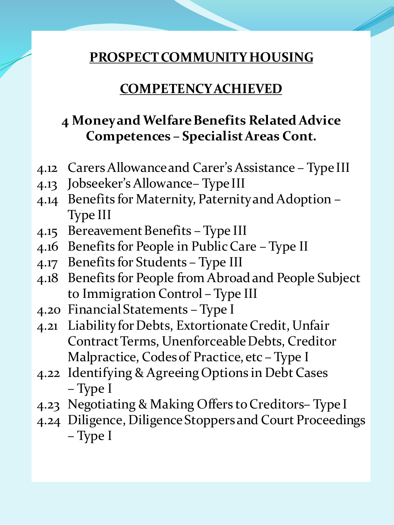#### **COMPETENCY ACHIEVED**

## **4 Money and Welfare Benefits Related Advice Competences – Specialist Areas Cont.**

- 4.12 Carers Allowance and Carer's Assistance Type III
- 4.13 Jobseeker's Allowance– Type III
- 4.14 Benefits for Maternity, Paternity and Adoption Type III
- 4.15 Bereavement Benefits Type III
- 4.16 Benefits for People in Public Care Type II
- 4.17 Benefits for Students Type III
- 4.18 Benefits for People from Abroad and People Subject to Immigration Control – Type III
- 4.20 Financial Statements Type I
- 4.21 Liability for Debts, Extortionate Credit, Unfair Contract Terms, Unenforceable Debts, Creditor Malpractice, Codes of Practice, etc – Type I
- 4.22 Identifying & Agreeing Options in Debt Cases – Type I
- 4.23 Negotiating & Making Offers to Creditors– Type I
- 4.24 Diligence, Diligence Stoppers and Court Proceedings – Type I